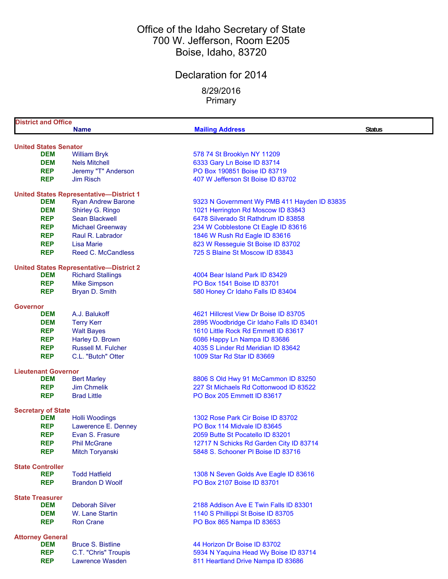### Office of the Idaho Secretary of State 700 W. Jefferson, Room E205 Boise, Idaho, 83720

# Declaration for 2014

8/29/2016 Primary

| <b>District and Office</b>                 |                                                |                                              |               |
|--------------------------------------------|------------------------------------------------|----------------------------------------------|---------------|
|                                            | <b>Name</b>                                    | <b>Mailing Address</b>                       | <b>Status</b> |
|                                            |                                                |                                              |               |
| <b>United States Senator</b><br><b>DEM</b> | <b>William Bryk</b>                            | 578 74 St Brooklyn NY 11209                  |               |
| <b>DEM</b>                                 | <b>Nels Mitchell</b>                           | 6333 Gary Ln Boise ID 83714                  |               |
| <b>REP</b>                                 | Jeremy "T" Anderson                            | PO Box 190851 Boise ID 83719                 |               |
| <b>REP</b>                                 | <b>Jim Risch</b>                               | 407 W Jefferson St Boise ID 83702            |               |
|                                            |                                                |                                              |               |
|                                            | <b>United States Representative-District 1</b> |                                              |               |
| <b>DEM</b>                                 | <b>Ryan Andrew Barone</b>                      | 9323 N Government Wy PMB 411 Hayden ID 83835 |               |
| <b>DEM</b>                                 | Shirley G. Ringo                               | 1021 Herrington Rd Moscow ID 83843           |               |
| <b>REP</b>                                 | <b>Sean Blackwell</b>                          | 6478 Silverado St Rathdrum ID 83858          |               |
| <b>REP</b>                                 | <b>Michael Greenway</b>                        | 234 W Cobblestone Ct Eagle ID 83616          |               |
| <b>REP</b>                                 | Raul R. Labrador                               | 1846 W Rush Rd Eagle ID 83616                |               |
| <b>REP</b>                                 | Lisa Marie                                     | 823 W Resseguie St Boise ID 83702            |               |
| <b>REP</b>                                 | Reed C. McCandless                             | 725 S Blaine St Moscow ID 83843              |               |
|                                            | <b>United States Representative-District 2</b> |                                              |               |
| <b>DEM</b>                                 | <b>Richard Stallings</b>                       | 4004 Bear Island Park ID 83429               |               |
| <b>REP</b>                                 | <b>Mike Simpson</b>                            | PO Box 1541 Boise ID 83701                   |               |
| <b>REP</b>                                 | Bryan D. Smith                                 | 580 Honey Cr Idaho Falls ID 83404            |               |
|                                            |                                                |                                              |               |
| <b>Governor</b>                            |                                                |                                              |               |
| <b>DEM</b>                                 | A.J. Balukoff                                  | 4621 Hillcrest View Dr Boise ID 83705        |               |
| <b>DEM</b>                                 | <b>Terry Kerr</b>                              | 2895 Woodbridge Cir Idaho Falls ID 83401     |               |
| <b>REP</b>                                 | <b>Walt Bayes</b>                              | 1610 Little Rock Rd Emmett ID 83617          |               |
| <b>REP</b>                                 | Harley D. Brown                                | 6086 Happy Ln Nampa ID 83686                 |               |
| <b>REP</b>                                 | <b>Russell M. Fulcher</b>                      | 4035 S Linder Rd Meridian ID 83642           |               |
| <b>REP</b>                                 | C.L. "Butch" Otter                             | 1009 Star Rd Star ID 83669                   |               |
| <b>Lieutenant Governor</b>                 |                                                |                                              |               |
| <b>DEM</b>                                 | <b>Bert Marley</b>                             | 8806 S Old Hwy 91 McCammon ID 83250          |               |
| <b>REP</b>                                 | <b>Jim Chmelik</b>                             | 227 St Michaels Rd Cottonwood ID 83522       |               |
| <b>REP</b>                                 | <b>Brad Little</b>                             | PO Box 205 Emmett ID 83617                   |               |
|                                            |                                                |                                              |               |
| <b>Secretary of State</b><br><b>DEM</b>    | <b>Holli Woodings</b>                          | 1302 Rose Park Cir Boise ID 83702            |               |
| <b>REP</b>                                 | Lawerence E. Denney                            | PO Box 114 Midvale ID 83645                  |               |
| <b>REP</b>                                 | Evan S. Frasure                                | 2059 Butte St Pocatello ID 83201             |               |
| <b>REP</b>                                 | <b>Phil McGrane</b>                            | 12717 N Schicks Rd Garden City ID 83714      |               |
| <b>REP</b>                                 | Mitch Toryanski                                | 5848 S. Schooner PI Boise ID 83716           |               |
|                                            |                                                |                                              |               |
| <b>State Controller</b>                    |                                                |                                              |               |
| <b>REP</b>                                 | <b>Todd Hatfield</b>                           | 1308 N Seven Golds Ave Eagle ID 83616        |               |
| <b>REP</b>                                 | <b>Brandon D Woolf</b>                         | PO Box 2107 Boise ID 83701                   |               |
| <b>State Treasurer</b>                     |                                                |                                              |               |
| <b>DEM</b>                                 | <b>Deborah Silver</b>                          | 2188 Addison Ave E Twin Falls ID 83301       |               |
| <b>DEM</b>                                 | W. Lane Startin                                | 1140 S Phillippi St Boise ID 83705           |               |
| <b>REP</b>                                 | <b>Ron Crane</b>                               | PO Box 865 Nampa ID 83653                    |               |
|                                            |                                                |                                              |               |
| <b>Attorney General</b>                    |                                                |                                              |               |
| <b>DEM</b>                                 | <b>Bruce S. Bistline</b>                       | 44 Horizon Dr Boise ID 83702                 |               |
| <b>REP</b>                                 | C.T. "Chris" Troupis                           | 5934 N Yaquina Head Wy Boise ID 83714        |               |
| <b>REP</b>                                 | Lawrence Wasden                                | 811 Heartland Drive Nampa ID 83686           |               |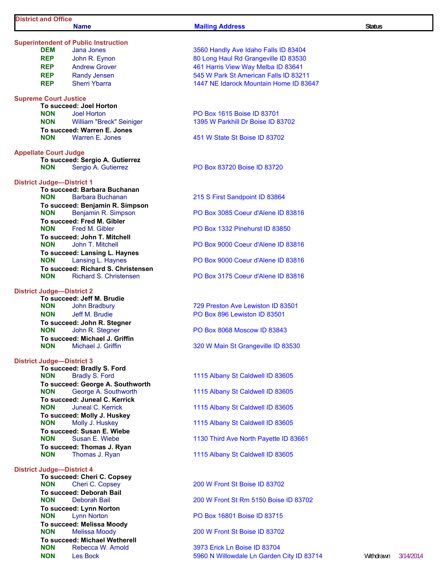**Superintendent of Public Instruction<br>DEM** Jana Jones

#### **Name Mailing Address Status Status**

| <b>REP</b><br><b>REP</b><br><b>REP</b><br><b>REP</b> | John R. Eynon<br><b>Andrew Grover</b><br><b>Randy Jensen</b><br><b>Sherri Ybarra</b> | 80 Long Haul Rd Grangeville ID 83530<br>461 Harris View Way Melba ID 83641<br>545 W Park St American Falls ID 8321<br>1447 NE Idarock Mountain Home ID 83 |
|------------------------------------------------------|--------------------------------------------------------------------------------------|-----------------------------------------------------------------------------------------------------------------------------------------------------------|
| <b>Supreme Court Justice</b>                         |                                                                                      |                                                                                                                                                           |
|                                                      | To succeed: Joel Horton                                                              |                                                                                                                                                           |
| <b>NON</b>                                           | <b>Joel Horton</b><br><b>NON</b> William "Breck" Seiniger                            | PO Box 1615 Boise ID 83701<br>1395 W Parkhill Dr Boise ID 83702                                                                                           |
|                                                      | To succeed: Warren E. Jones                                                          |                                                                                                                                                           |
| <b>NON</b>                                           | Warren E. Jones                                                                      | 451 W State St Boise ID 83702                                                                                                                             |
| <b>Appellate Court Judge</b>                         |                                                                                      |                                                                                                                                                           |
| <b>NON</b>                                           | To succeed: Sergio A. Gutierrez<br>Sergio A. Gutierrez                               | PO Box 83720 Boise ID 83720                                                                                                                               |
| <b>District Judge-District 1</b>                     |                                                                                      |                                                                                                                                                           |
|                                                      | To succeed: Barbara Buchanan                                                         |                                                                                                                                                           |
| <b>NON</b>                                           | <b>Barbara Buchanan</b><br>To succeed: Benjamin R. Simpson                           | 215 S First Sandpoint ID 83864                                                                                                                            |
| <b>NON</b>                                           | Benjamin R. Simpson                                                                  | PO Box 3085 Coeur d'Alene ID 83816                                                                                                                        |
|                                                      | To succeed: Fred M. Gibler                                                           |                                                                                                                                                           |
|                                                      | <b>NON</b> Fred M. Gibler                                                            | PO Box 1332 Pinehurst ID 83850                                                                                                                            |
| <b>NON</b>                                           | To succeed: John T. Mitchell<br>John T. Mitchell                                     | PO Box 9000 Coeur d'Alene ID 83816                                                                                                                        |
| <b>NON</b>                                           | To succeed: Lansing L. Haynes<br>Lansing L. Haynes                                   | PO Box 9000 Coeur d'Alene ID 83816                                                                                                                        |
|                                                      | To succeed: Richard S. Christensen                                                   |                                                                                                                                                           |
| <b>NON</b>                                           | Richard S. Christensen                                                               | PO Box 3175 Coeur d'Alene ID 83816                                                                                                                        |
| <b>District Judge-District 2</b>                     |                                                                                      |                                                                                                                                                           |
|                                                      | To succeed: Jeff M. Brudie                                                           |                                                                                                                                                           |
| <b>NON</b>                                           | <b>John Bradbury</b>                                                                 | 729 Preston Ave Lewiston ID 83501                                                                                                                         |
| <b>NON</b>                                           | Jeff M. Brudie<br>To succeed: John R. Stegner                                        | PO Box 896 Lewiston ID 83501                                                                                                                              |
| <b>NON</b>                                           | John R. Stegner                                                                      | <b>PO Box 8068 Moscow ID 83843</b>                                                                                                                        |
|                                                      | To succeed: Michael J. Griffin                                                       |                                                                                                                                                           |
| <b>NON</b>                                           | Michael J. Griffin                                                                   | 320 W Main St Grangeville ID 83530                                                                                                                        |
| <b>District Judge-District 3</b>                     |                                                                                      |                                                                                                                                                           |
|                                                      | To succeed: Bradly S. Ford                                                           |                                                                                                                                                           |
| <b>NON</b>                                           | <b>Bradly S. Ford</b>                                                                | 1115 Albany St Caldwell ID 83605                                                                                                                          |
| <b>NON</b>                                           | To succeed: George A. Southworth<br>George A. Southworth                             | 1115 Albany St Caldwell ID 83605                                                                                                                          |
|                                                      | To succeed: Juneal C. Kerrick                                                        |                                                                                                                                                           |
| <b>NON</b>                                           | Juneal C. Kerrick                                                                    | 1115 Albany St Caldwell ID 83605                                                                                                                          |
| <b>NON</b>                                           | To succeed: Molly J. Huskey                                                          |                                                                                                                                                           |
|                                                      | Molly J. Huskey<br>To succeed: Susan E. Wiebe                                        | 1115 Albany St Caldwell ID 83605                                                                                                                          |
| <b>NON</b>                                           | Susan E. Wiebe                                                                       | 1130 Third Ave North Payette ID 83661                                                                                                                     |
|                                                      | To succeed: Thomas J. Ryan                                                           |                                                                                                                                                           |
| <b>NON</b>                                           | Thomas J. Ryan                                                                       | 1115 Albany St Caldwell ID 83605                                                                                                                          |
| <b>District Judge-District 4</b>                     |                                                                                      |                                                                                                                                                           |
|                                                      | To succeed: Cheri C. Copsey                                                          |                                                                                                                                                           |
| <b>NON</b>                                           | Cheri C. Copsey                                                                      | 200 W Front St Boise ID 83702                                                                                                                             |
| <b>NON</b>                                           | To succeed: Deborah Bail<br><b>Deborah Bail</b>                                      | 200 W Front St Rm 5150 Boise ID 8370                                                                                                                      |
|                                                      | To succeed: Lynn Norton                                                              |                                                                                                                                                           |
| <b>NON</b>                                           | <b>Lynn Norton</b>                                                                   | PO Box 16801 Boise ID 83715                                                                                                                               |

**To succeed: Melissa Moody**

**To succeed: Michael Wetherell**

|            | endent of Public Instruction |                                        |
|------------|------------------------------|----------------------------------------|
| DEM        | Jana Jones                   | 3560 Handly Ave Idaho Falls ID 83404   |
| <b>REP</b> | John R. Eynon                | 80 Long Haul Rd Grangeville ID 83530   |
| <b>REP</b> | <b>Andrew Grover</b>         | 461 Harris View Way Melba ID 83641     |
| <b>REP</b> | <b>Randy Jensen</b>          | 545 W Park St American Falls ID 83211  |
| REP        | <b>Sherri Ybarra</b>         | 1447 NE Idarock Mountain Home ID 83647 |
|            | $\Omega$ ourt luation        |                                        |

200 W Front St Boise ID 83702 200 W Front St Rm 5150 Boise ID 83702 **PO Box 16801 Boise ID 83715 NON** Melissa Moody 200 W Front St Boise ID 83702

**NON** Rebecca W. Arnold 3973 Erick Ln Boise ID 83704 **NON** Les Bock **5960 N Willowdale Ln Garden City ID 83714** Withdrawn 3/14/2014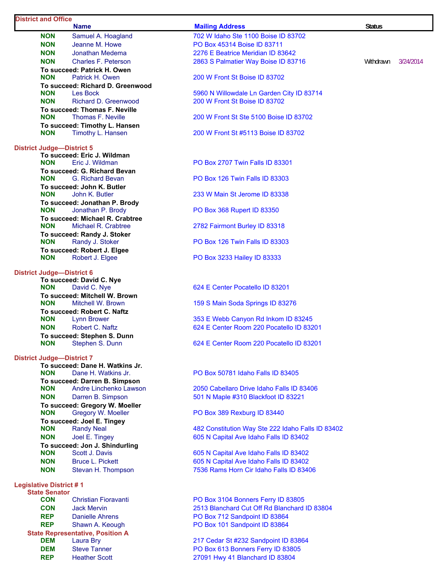# **District and Office**

| NUN                                                                                                           | Samuel A. Hoagianu                                                                                                                                                                                                                                                                                                          |
|---------------------------------------------------------------------------------------------------------------|-----------------------------------------------------------------------------------------------------------------------------------------------------------------------------------------------------------------------------------------------------------------------------------------------------------------------------|
| <b>NON</b>                                                                                                    | Jeanne M. Howe                                                                                                                                                                                                                                                                                                              |
| <b>NON</b>                                                                                                    | <b>Jonathan Medema</b>                                                                                                                                                                                                                                                                                                      |
| <b>NON</b>                                                                                                    | Charles F. Peterson                                                                                                                                                                                                                                                                                                         |
|                                                                                                               | To succeed: Patrick H. Owen                                                                                                                                                                                                                                                                                                 |
| <b>NON</b>                                                                                                    | Patrick H. Owen                                                                                                                                                                                                                                                                                                             |
|                                                                                                               | To succeed: Richard D. Greenwood                                                                                                                                                                                                                                                                                            |
| <b>NON</b>                                                                                                    | <b>Les Bock</b>                                                                                                                                                                                                                                                                                                             |
| <b>NON</b>                                                                                                    | Richard D. Greenwood                                                                                                                                                                                                                                                                                                        |
|                                                                                                               | To succeed: Thomas F. Neville                                                                                                                                                                                                                                                                                               |
| <b>NON</b>                                                                                                    | Thomas F. Neville                                                                                                                                                                                                                                                                                                           |
|                                                                                                               | To succeed: Timothy L. Hansen                                                                                                                                                                                                                                                                                               |
| <b>NON</b>                                                                                                    | Timothy L. Hansen                                                                                                                                                                                                                                                                                                           |
| District Judge—District 5<br><b>NON</b><br><b>NON</b><br><b>NON</b><br><b>NON</b><br><b>NON</b><br><b>NON</b> | To succeed: Eric J. Wildman<br>Eric J. Wildman<br>To succeed: G. Richard Bevan<br><b>G. Richard Bevan</b><br>To succeed: John K. Butler<br>John K. Butler<br>To succeed: Jonathan P. Brody<br>Jonathan P. Brody<br>To succeed: Michael R. Crabtree<br>Michael R. Crabtree<br>To succeed: Randy J. Stoker<br>Randy J. Stoker |
| NON                                                                                                           | To succeed: Robert J. Elgee<br>Robert J. Elgee                                                                                                                                                                                                                                                                              |
|                                                                                                               |                                                                                                                                                                                                                                                                                                                             |

### **District Judge—District 6**

#### **District Judge—District 7**

|            | To succeed: Dane H. Watkins Jr. |
|------------|---------------------------------|
| <b>NON</b> | Dane H. Watkins Jr.             |
|            | To succeed: Darren B. Simpson   |
| <b>NON</b> | Andre Linchenko Lawsor          |
| <b>NON</b> | Darren B. Simpson               |
|            | To succeed: Gregory W. Moeller  |
| <b>NON</b> | Gregory W. Moeller              |
|            | To succeed: Joel E. Tingey      |
| <b>NON</b> | <b>Randy Neal</b>               |
| <b>NON</b> | Joel E. Tingey                  |
|            | To succeed: Jon J. Shindurling  |
| <b>NON</b> | Scott J. Davis                  |
| <b>NON</b> | <b>Bruce L. Pickett</b>         |
| <b>NON</b> | Stevan H. Thompson              |

#### **Legislative District # 1**

| <b>State Senator</b> |                                         |
|----------------------|-----------------------------------------|
| <b>CON</b>           | <b>Christian Fioravanti</b>             |
| <b>CON</b>           | Jack Mervin                             |
| <b>REP</b>           | <b>Danielle Ahrens</b>                  |
| <b>REP</b>           | Shawn A. Keough                         |
|                      | <b>State Representative, Position A</b> |
| <b>DEM</b>           | Laura Bry                               |
| <b>DEM</b>           | <b>Steve Tanner</b>                     |
| REP                  | <b>Heather Scott</b>                    |
|                      |                                         |

| <b>NON</b>      | Samuel A. Hoagland                                     | 702 W Idaho Ste 1100 Boise ID 83702                                               |           |           |
|-----------------|--------------------------------------------------------|-----------------------------------------------------------------------------------|-----------|-----------|
| NON             | Jeanne M. Howe                                         | PO Box 45314 Boise ID 83711                                                       |           |           |
| <b>NON</b>      | Jonathan Medema                                        | 2276 E Beatrice Meridian ID 83642                                                 |           |           |
| <b>NON</b>      | <b>Charles F. Peterson</b>                             | 2863 S Palmatier Way Boise ID 83716                                               | Withdrawn | 3/24/2014 |
| NON             | To succeed: Patrick H. Owen<br>Patrick H. Owen         | 200 W Front St Boise ID 83702                                                     |           |           |
|                 | To succeed: Richard D. Greenwood                       |                                                                                   |           |           |
| NON             | Les Bock                                               | 5960 N Willowdale Ln Garden City ID 83714                                         |           |           |
| <b>NON</b>      | <b>Richard D. Greenwood</b>                            | 200 W Front St Boise ID 83702                                                     |           |           |
|                 | To succeed: Thomas F. Neville                          |                                                                                   |           |           |
| NON             | Thomas F. Neville<br>To succeed: Timothy L. Hansen     | 200 W Front St Ste 5100 Boise ID 83702                                            |           |           |
| NON             | Timothy L. Hansen                                      | 200 W Front St #5113 Boise ID 83702                                               |           |           |
|                 | Judge—District 5                                       |                                                                                   |           |           |
| NON             | To succeed: Eric J. Wildman<br>Eric J. Wildman         | <b>PO Box 2707 Twin Falls ID 83301</b>                                            |           |           |
|                 | To succeed: G. Richard Bevan                           |                                                                                   |           |           |
| NON.            | G. Richard Bevan                                       | PO Box 126 Twin Falls ID 83303                                                    |           |           |
|                 | To succeed: John K. Butler                             |                                                                                   |           |           |
| NON             | John K. Butler<br>To succeed: Jonathan P. Brody        | 233 W Main St Jerome ID 83338                                                     |           |           |
| NON             | Jonathan P. Brody                                      | PO Box 368 Rupert ID 83350                                                        |           |           |
|                 | To succeed: Michael R. Crabtree                        |                                                                                   |           |           |
| <b>NON</b>      | Michael R. Crabtree                                    | 2782 Fairmont Burley ID 83318                                                     |           |           |
|                 | To succeed: Randy J. Stoker                            |                                                                                   |           |           |
| NON             | Randy J. Stoker<br>To succeed: Robert J. Elgee         | PO Box 126 Twin Falls ID 83303                                                    |           |           |
| NON.            | Robert J. Elgee                                        | PO Box 3233 Hailey ID 83333                                                       |           |           |
|                 | <b>Judge-District 6</b>                                |                                                                                   |           |           |
| NON             | To succeed: David C. Nye                               | 624 E Center Pocatello ID 83201                                                   |           |           |
|                 | David C. Nye<br>To succeed: Mitchell W. Brown          |                                                                                   |           |           |
| NON             | Mitchell W. Brown                                      | 159 S Main Soda Springs ID 83276                                                  |           |           |
|                 | To succeed: Robert C. Naftz                            |                                                                                   |           |           |
| NON             | Lynn Brower                                            | 353 E Webb Canyon Rd Inkom ID 83245                                               |           |           |
| NON             | Robert C. Naftz<br>To succeed: Stephen S. Dunn         | 624 E Center Room 220 Pocatello ID 83201                                          |           |           |
| NON             | Stephen S. Dunn                                        | 624 E Center Room 220 Pocatello ID 83201                                          |           |           |
|                 | Judge-District 7                                       |                                                                                   |           |           |
| <b>NON</b>      | To succeed: Dane H. Watkins Jr.<br>Dane H. Watkins Jr. | PO Box 50781 Idaho Falls ID 83405                                                 |           |           |
|                 | To succeed: Darren B. Simpson                          |                                                                                   |           |           |
| NON             | Andre Linchenko Lawson                                 | 2050 Cabellaro Drive Idaho Falls ID 83406                                         |           |           |
| <b>NON</b>      | Darren B. Simpson                                      | 501 N Maple #310 Blackfoot ID 83221                                               |           |           |
|                 | To succeed: Gregory W. Moeller                         |                                                                                   |           |           |
| NON.            | Gregory W. Moeller<br>To succeed: Joel E. Tingey       | PO Box 389 Rexburg ID 83440                                                       |           |           |
| NON             | <b>Randy Neal</b>                                      | 482 Constitution Way Ste 222 Idaho Falls ID 83402                                 |           |           |
| NON             | Joel E. Tingey                                         | 605 N Capital Ave Idaho Falls ID 83402                                            |           |           |
|                 | To succeed: Jon J. Shindurling                         |                                                                                   |           |           |
| NON             | Scott J. Davis                                         | 605 N Capital Ave Idaho Falls ID 83402                                            |           |           |
| NON<br>NON      | <b>Bruce L. Pickett</b><br>Stevan H. Thompson          | 605 N Capital Ave Idaho Falls ID 83402<br>7536 Rams Horn Cir Idaho Falls ID 83406 |           |           |
| ve District # 1 |                                                        |                                                                                   |           |           |
| e Senator       |                                                        |                                                                                   |           |           |
| CON             | <b>Christian Fioravanti</b>                            | PO Box 3104 Bonners Ferry ID 83805                                                |           |           |
| CON<br>REP      | <b>Jack Mervin</b><br><b>Danielle Ahrens</b>           | 2513 Blanchard Cut Off Rd Blanchard ID 83804<br>PO Box 712 Sandpoint ID 83864     |           |           |
| REP             | Shawn A. Keough                                        | PO Box 101 Sandpoint ID 83864                                                     |           |           |
|                 |                                                        |                                                                                   |           |           |

**Mailing Address Status Status** 

217 Cedar St #232 Sandpoint ID 83864 PO Box 613 Bonners Ferry ID 83805 27091 Hwy 41 Blanchard ID 83804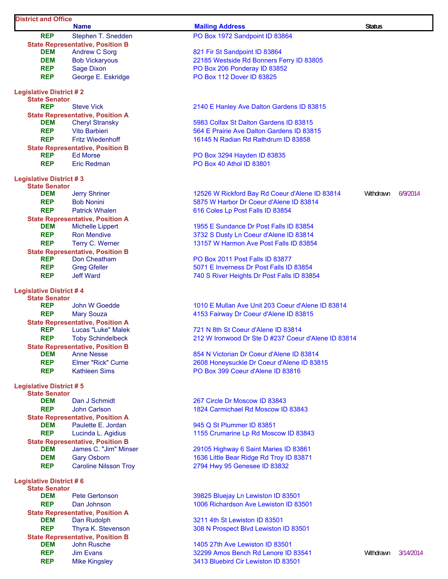| <b>District and Office</b>                             |                                                                 |                                                                        |               |           |
|--------------------------------------------------------|-----------------------------------------------------------------|------------------------------------------------------------------------|---------------|-----------|
|                                                        | <b>Name</b>                                                     | <b>Mailing Address</b>                                                 | <b>Status</b> |           |
| <b>REP</b>                                             | Stephen T. Snedden                                              | PO Box 1972 Sandpoint ID 83864                                         |               |           |
| <b>DEM</b>                                             | <b>State Representative, Position B</b><br><b>Andrew C Sorg</b> | 821 Fir St Sandpoint ID 83864                                          |               |           |
| <b>DEM</b>                                             | <b>Bob Vickaryous</b>                                           | 22185 Westside Rd Bonners Ferry ID 83805                               |               |           |
| <b>REP</b>                                             | <b>Sage Dixon</b>                                               | PO Box 206 Ponderay ID 83852                                           |               |           |
| <b>REP</b>                                             | George E. Eskridge                                              | PO Box 112 Dover ID 83825                                              |               |           |
|                                                        |                                                                 |                                                                        |               |           |
| <b>Legislative District #2</b>                         |                                                                 |                                                                        |               |           |
| <b>State Senator</b><br><b>REP</b>                     | <b>Steve Vick</b>                                               | 2140 E Hanley Ave Dalton Gardens ID 83815                              |               |           |
|                                                        | <b>State Representative, Position A</b>                         |                                                                        |               |           |
| <b>DEM</b>                                             | <b>Cheryl Stransky</b>                                          | 5983 Colfax St Dalton Gardens ID 83815                                 |               |           |
| <b>REP</b>                                             | <b>Vito Barbieri</b>                                            | 564 E Prairie Ave Dalton Gardens ID 83815                              |               |           |
| <b>REP</b>                                             | <b>Fritz Wiedenhoff</b>                                         | 16145 N Radian Rd Rathdrum ID 83858                                    |               |           |
|                                                        | <b>State Representative, Position B</b>                         |                                                                        |               |           |
| <b>REP</b>                                             | <b>Ed Morse</b>                                                 | PO Box 3294 Hayden ID 83835                                            |               |           |
| <b>REP</b>                                             | <b>Eric Redman</b>                                              | PO Box 40 Athol ID 83801                                               |               |           |
| <b>Legislative District #3</b>                         |                                                                 |                                                                        |               |           |
| <b>State Senator</b>                                   |                                                                 |                                                                        |               |           |
| <b>DEM</b>                                             | <b>Jerry Shriner</b>                                            | 12526 W Rickford Bay Rd Coeur d'Alene ID 83814                         | Withdrawn     | 6/9/2014  |
| <b>REP</b>                                             | <b>Bob Nonini</b>                                               | 5875 W Harbor Dr Coeur d'Alene ID 83814                                |               |           |
| <b>REP</b>                                             | <b>Patrick Whalen</b>                                           | 616 Coles Lp Post Falls ID 83854                                       |               |           |
|                                                        | <b>State Representative, Position A</b>                         |                                                                        |               |           |
| <b>DEM</b>                                             | <b>Michelle Lippert</b>                                         | 1955 E Sundance Dr Post Falls ID 83854                                 |               |           |
| <b>REP</b>                                             | <b>Ron Mendive</b>                                              | 3732 S Dusty Ln Coeur d'Alene ID 83814                                 |               |           |
| <b>REP</b>                                             | Terry C. Werner<br><b>State Representative, Position B</b>      | 13157 W Harmon Ave Post Falls ID 83854                                 |               |           |
| <b>REP</b>                                             | Don Cheatham                                                    | PO Box 2011 Post Falls ID 83877                                        |               |           |
| <b>REP</b>                                             | <b>Greg Gfeller</b>                                             | 5071 E Inverness Dr Post Falls ID 83854                                |               |           |
| <b>REP</b>                                             | <b>Jeff Ward</b>                                                | 740 S River Heights Dr Post Falls ID 83854                             |               |           |
|                                                        |                                                                 |                                                                        |               |           |
| <b>Legislative District #4</b>                         |                                                                 |                                                                        |               |           |
| <b>State Senator</b><br><b>REP</b>                     | John W Goedde                                                   | 1010 E Mullan Ave Unit 203 Coeur d'Alene ID 83814                      |               |           |
| <b>REP</b>                                             | <b>Mary Souza</b>                                               | 4153 Fairway Dr Coeur d'Alene ID 83815                                 |               |           |
|                                                        | <b>State Representative, Position A</b>                         |                                                                        |               |           |
| REP                                                    | Lucas "Luke" Malek                                              | 721 N 8th St Coeur d'Alene ID 83814                                    |               |           |
| <b>REP</b>                                             | <b>Toby Schindelbeck</b>                                        | 212 W Ironwood Dr Ste D #237 Coeur d'Alene ID 83814                    |               |           |
|                                                        | <b>State Representative, Position B</b>                         |                                                                        |               |           |
| <b>DEM</b>                                             | <b>Anne Nesse</b>                                               | 854 N Victorian Dr Coeur d'Alene ID 83814                              |               |           |
| <b>REP</b>                                             | <b>Elmer "Rick" Currie</b>                                      | 2608 Honeysuckle Dr Coeur d'Alene ID 83815                             |               |           |
| <b>REP</b>                                             | <b>Kathleen Sims</b>                                            | PO Box 399 Coeur d'Alene ID 83816                                      |               |           |
| <b>Legislative District #5</b>                         |                                                                 |                                                                        |               |           |
| <b>State Senator</b>                                   |                                                                 |                                                                        |               |           |
| <b>DEM</b>                                             | Dan J Schmidt                                                   | 267 Circle Dr Moscow ID 83843                                          |               |           |
| <b>REP</b>                                             | <b>John Carlson</b>                                             | 1824 Carmichael Rd Moscow ID 83843                                     |               |           |
| <b>DEM</b>                                             | <b>State Representative, Position A</b><br>Paulette E. Jordan   | 945 Q St Plummer ID 83851                                              |               |           |
| <b>REP</b>                                             | Lucinda L. Agidius                                              | 1155 Crumarine Lp Rd Moscow ID 83843                                   |               |           |
|                                                        | <b>State Representative, Position B</b>                         |                                                                        |               |           |
| <b>DEM</b>                                             | James C. "Jim" Minser                                           | 29105 Highway 6 Saint Maries ID 83861                                  |               |           |
| <b>DEM</b>                                             | <b>Gary Osborn</b>                                              | 1636 Little Bear Ridge Rd Troy ID 83871                                |               |           |
| <b>REP</b>                                             | <b>Caroline Nilsson Troy</b>                                    | 2794 Hwy 95 Genesee ID 83832                                           |               |           |
|                                                        |                                                                 |                                                                        |               |           |
| <b>Legislative District #6</b><br><b>State Senator</b> |                                                                 |                                                                        |               |           |
| <b>DEM</b>                                             | <b>Pete Gertonson</b>                                           | 39825 Bluejay Ln Lewiston ID 83501                                     |               |           |
| <b>REP</b>                                             | Dan Johnson                                                     | 1006 Richardson Ave Lewiston ID 83501                                  |               |           |
|                                                        | <b>State Representative, Position A</b>                         |                                                                        |               |           |
| <b>DEM</b>                                             | Dan Rudolph                                                     | 3211 4th St Lewiston ID 83501                                          |               |           |
| <b>REP</b>                                             | Thyra K. Stevenson                                              | 308 N Prospect Blvd Lewiston ID 83501                                  |               |           |
|                                                        | <b>State Representative, Position B</b>                         |                                                                        |               |           |
| <b>DEM</b><br><b>REP</b>                               | <b>John Rusche</b><br><b>Jim Evans</b>                          | 1405 27th Ave Lewiston ID 83501<br>32299 Amos Bench Rd Lenore ID 83541 | Withdrawn     | 3/14/2014 |
| <b>REP</b>                                             | <b>Mike Kingsley</b>                                            | 3413 Bluebird Cir Lewiston ID 83501                                    |               |           |
|                                                        |                                                                 |                                                                        |               |           |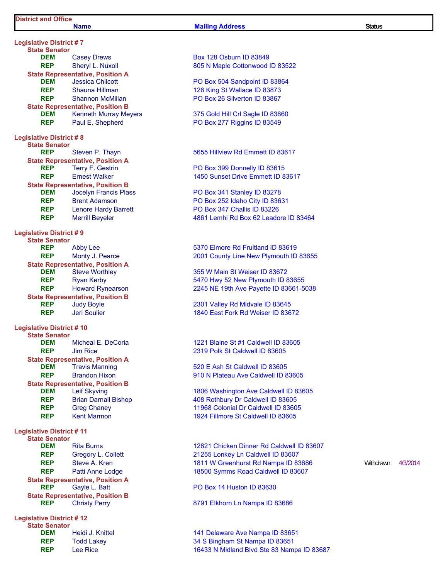#### **Name Mailing Address Mailing Address Status** Status

**Legislative District # 7 State Senator DEM** Casey Drews Box 128 Osburn ID 83849 **REP** Sheryl L. Nuxoll 805 N Maple Cottonwood ID 83522 **State Representative, Position A**<br>**DEM** Jessica Chilcott **DEM** Jessica Chilcott **DEM** Jessica Chilcott **PO Box 504 Sandpoint ID 83864 REP** Shauna Hillman **126 King St Wallace ID 83873 REP** Shannon McMillan **PO Box 26 Silverton ID 83867 State Representative, Position B DEM** Kenneth Murray Meyers 375 Gold Hill Crl Sagle ID 83860 **REP** Paul E. Shepherd PO Box 277 Riggins ID 83549 **Legislative District # 8 State Senator State Representative, Position A**<br>**REP** Terry F. Gestrin **REP** Terry F. Gestrin **PO Box 399 Donnelly ID 83615 State Representative, Position B DEM** Jocelyn Francis Plass PO Box 341 Stanley ID 83278 **REP** Brent Adamson **PO Box 252 Idaho City ID 83631 REP** Lenore Hardy Barrett PO Box 347 Challis ID 83226 **Legislative District # 9 State Senator REP** Abby Lee 5370 Elmore Rd Fruitland ID 83619 **State Representative, Position A DEM** Steve Worthley **355 W Main St Weiser ID 83672 State Representative, Position B REP** Judy Boyle 2301 Valley Rd Midvale ID 83645 **REP** Jeri Soulier **1840 East Fork Rd Weiser ID 83672 Legislative District # 10 State Senator DEM** Micheal E. DeCoria 1221 Blaine St #1 Caldwell ID 83605 **REP** Jim Rice 2319 Polk St Caldwell ID 83605 **State Representative, Position A**<br>**DEM** Travis Manning **State Representative, Position B REP** Brian Darnall Bishop 408 Rothbury Dr Caldwell ID 83605 **REP** Greg Chaney **Changes Changes Colonial Dr Caldwell ID 83605 REP** Kent Marmon **1924 Fillmore St Caldwell ID 83605 Legislative District # 11 State Senator REP** Gregory L. Collett 21255 Lonkey Ln Caldwell ID 83607 **State Representative, Position A**<br>**REP** Gayle L. Batt **REP** Gayle L. Batt **PO Box 14 Huston ID 83630 State Representative, Position B REP** Christy Perry **Christy Perry 6791 Elkhorn Ln Nampa ID 83686 Legislative District # 12 State Senator DEM** Heidi J. Knittel **141 Delaware Ave Nampa ID 83651** 

**Reprise P. Thayn 5655 Hillview Rd Emmett ID 83617** 

**REP** Ernest Walker 1450 Sunset Drive Emmett ID 83617

**REP** Merrill Beyeler 4861 Lemhi Rd Box 62 Leadore ID 83464

**REP** Monty J. Pearce 2001 County Line New Plymouth ID 83655

**REP** Ryan Kerby **120 COV 2410 HWY 5470 Hwy 52 New Plymouth ID 83655 REP** Howard Rynearson 2245 NE 19th Ave Payette ID 83661-5038

**520 E Ash St Caldwell ID 83605 REP** Brandon Hixon **1910 N** Plateau Ave Caldwell ID 83605

**DEM** Leif Skyving **1806 Washington Ave Caldwell ID 83605** 

**DEM** Rita Burns **Rita Burns Rita Burns Rita Burns Caldwell ID 83607 REP** Steve A. Kren **1811 W Greenhurst Rd Nampa ID 83686** Withdrawn 4/3/2014 **REP** Patti Anne Lodge 18500 Symms Road Caldwell ID 83607

**REP** Todd Lakey 34 S Bingham St Nampa ID 83651 **REP** Lee Rice 16433 N Midland Blvd Ste 83 Nampa ID 83687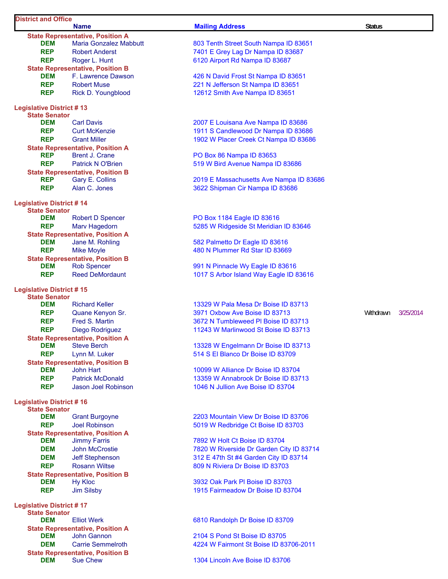## **District and Office Name Mailing Address Status State Representative, Position A**<br>**DEM** Maria Gonzalez Mabbutt

**State Representative, Position B DEM** F. Lawrence Dawson 426 N David Frost St Nampa ID 83651 **Legislative District # 13 State Senator State Representative, Position A REP** Brent J. Crane **PO Box 86 Nampa ID 83653 State Representative, Position B**

**Legislative District # 14 State Senator DEM** Robert D Spencer **PO Box 1184 Eagle ID 83616 State Representative, Position A DEM** Jane M. Rohling **1988 582 Palmetto Dr Eagle ID 83616 State Representative, Position B**

**Legislative District # 15 State Senator State Representative, Position A State Representative, Position B**

**Legislative District # 16 State Senator State Representative, Position A DEM** Jimmy Farris 7892 W Holt Ct Boise ID 83704 **REP** Rosann Wiltse 809 N Riviera Dr Boise ID 83703 **State Representative, Position B DEM** Hy Kloc **CONSERVING BOOK AND HY KIDS** 3932 Oak Park PI Boise ID 83703

**Legislative District # 17 State Senator State Representative, Position A DEM** John Gannon 2104 S Pond St Boise ID 83705 **State Representative, Position B DEM** Sue Chew **1304 Lincoln Ave Boise ID 83706** 

**803 Tenth Street South Nampa ID 83651 REP** Robert Anderst **Repart Anderst 2008** 7401 E Grey Lag Dr Nampa ID 83687 **REP** Roger L. Hunt 6120 Airport Rd Nampa ID 83687

**REP** Robert Muse 221 N Jefferson St Nampa ID 83651 **REP** Rick D. Youngblood 12612 Smith Ave Nampa ID 83651

**DEM** Carl Davis **Carl Davis** 2007 E Louisana Ave Nampa ID 83686 **REP** Curt McKenzie 1911 S Candlewood Dr Nampa ID 83686 **REP** Grant Miller 1902 W Placer Creek Ct Nampa ID 83686

**REP** Patrick N O'Brien 619 M Bird Avenue Nampa ID 83686

**REP** Gary E. Collins 2019 E Massachusetts Ave Nampa ID 83686 **REP** Alan C. Jones 3622 Shipman Cir Nampa ID 83686

**REP** Marv Hagedorn 6285 W Ridgeside St Meridian ID 83646

**REP** Mike Moyle **1988 Mike Moyle 1988 M** 2008 M 2010 Mike Myle 480 N Plummer Rd Star ID 83669

**DEM** Rob Spencer **Rob Spencer** 991 N Pinnacle Wy Eagle ID 83616 **REP** Reed DeMordaunt 1017 S Arbor Island Way Eagle ID 83616

**DEM** Richard Keller **Richard Keller** 13329 W Pala Mesa Dr Boise ID 83713 **REP** Quane Kenyon Sr.  $3971$  Oxbow Ave Boise ID 83713 Withdrawn 3/25/2014 **REP** Fred S. Martin **1988 Fred S. Martin** 3672 N Tumbleweed Pl Boise ID 83713 **REP** Diego Rodriguez 11243 W Marlinwood St Boise ID 83713

**DEM** Steve Berch **Steve Berch 2006** 13328 W Engelmann Dr Boise ID 83713 **REP** Lynn M. Luker 514 S El Blanco Dr Boise ID 83709

**DEM** John Hart **10099 W Alliance Dr Boise ID 83704 REP** Patrick McDonald **13359 W Annabrook Dr Boise ID 83713 REP** Jason Joel Robinson 1046 N Jullion Ave Boise ID 83704

**DEM** Grant Burgoyne **2203 Mountain View Dr Boise ID 83706 REP** Joel Robinson 5019 W Redbridge Ct Boise ID 83703

**DEM** John McCrostie 7820 W Riverside Dr Garden City ID 83714 **DEM** Jeff Stephenson 312 E 47th St #4 Garden City ID 83714

**REP** Jim Silsby **1915 Fairmeadow Dr Boise ID 83704** 

**DEM** Elliot Werk 6810 Randolph Dr Boise ID 83709

**DEM** Carrie Semmelroth 4224 W Fairmont St Boise ID 83706-2011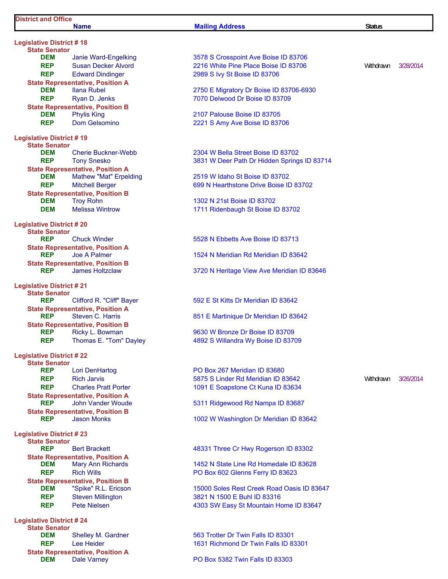**Legislative District # 18 State Senator**

#### **Name Mailing Address Status**

**REP** Edward Dindinger 2989 S Ivy St Boise ID 83706 **State Representative, Position A REP** Ryan D. Jenks 7070 Delwood Dr Boise ID 83709 **State Representative, Position B DEM** Phylis King **DEM** Phylis King **Property Palouse Boise ID 83705 REP** Dom Gelsomino 2221 S Amy Ave Boise ID 83706 **Legislative District # 19 State Senator State Representative, Position A DEM** Mathew "Mat" Erpelding 2519 W Idaho St Boise ID 83702 **State Representative, Position B DEM** Troy Rohn 1302 N 21st Boise ID 83702 **DEM** Melissa Wintrow 1711 Ridenbaugh St Boise ID 83702 **Legislative District # 20 State Senator REP** Chuck Winder 5528 N Ebbetts Ave Boise ID 83713 **State Representative, Position A**<br>**REP** Joe A Palmer **REP** Joe A Palmer 1524 N Meridian Rd Meridian ID 83642 **State Representative, Position B Legislative District # 21 State Senator State Representative, Position A REP** Steven C. Harris 851 E Martinique Dr Meridian ID 83642 **State Representative, Position B REP** Ricky L. Bowman 9630 W Bronze Dr Boise ID 83709 **REP** Thomas E. "Tom" Dayley 4892 S Willandra Wy Boise ID 83709 **Legislative District # 22 State Senator REP** Lori DenHartog **PO Box 267 Meridian ID 83680 REP** Rich Jarvis **Repart 2018 12-12 State 12-13 S** Linder Rd Meridian ID 83642 Withdrawn 3/26/2014 **REP** Charles Pratt Porter 1091 E Soapstone Ct Kuna ID 83634 **State Representative, Position A REP** John Vander Woude 5311 Ridgewood Rd Nampa ID 83687 **State Representative, Position B REP** Jason Monks 1002 W Washington Dr Meridian ID 83642 **Legislative District # 23 State Senator State Representative, Position A REP** Rich Wills **REP** Rich Wills **REP** Rich Wills **State Representative, Position B**<br>**DEM** "Spike" R.L. Ericson **REP** Steven Millington 3821 N 1500 E Buhl ID 83316 **Legislative District # 24**

**State Senator State Representative, Position A DEM** Dale Varney **DALE 2008 PO Box 5382 Twin Falls ID 83303** 

**DEM** Janie Ward-Engelking 3578 S Crosspoint Ave Boise ID 83706 **REP** Susan Decker Alvord 2216 White Pine Place Boise ID 83706 Withdrawn 3/28/2014

**DEM** Ilana Rubel 2750 E Migratory Dr Boise ID 83706-6930

**DEM** Cherie Buckner-Webb 2304 W Bella Street Boise ID 83702 **REP** Tony Snesko 3831 W Deer Path Dr Hidden Springs ID 83714

**REP** Mitchell Berger 699 N Hearthstone Drive Boise ID 83702

**REP** James Holtzclaw 3720 N Heritage View Ave Meridian ID 83646

Clifford R. "Cliff" Bayer 592 E St Kitts Dr Meridian ID 83642

**Bert Brackett REPPENDED 48331 Three Cr Hwy Rogerson ID 83302** 

**DEM** Mary Ann Richards 1452 N State Line Rd Homedale ID 83628

**DEM** "Spike" R.L. Ericson 15000 Soles Rest Creek Road Oasis ID 83647 **REP** Pete Nielsen **1303 SW Easy St Mountain Home ID 83647** 

**Shelley M. Gardner 563 Trotter Dr Twin Falls ID 83301 REP** Lee Heider **1631 Richmond Dr Twin Falls ID 83301**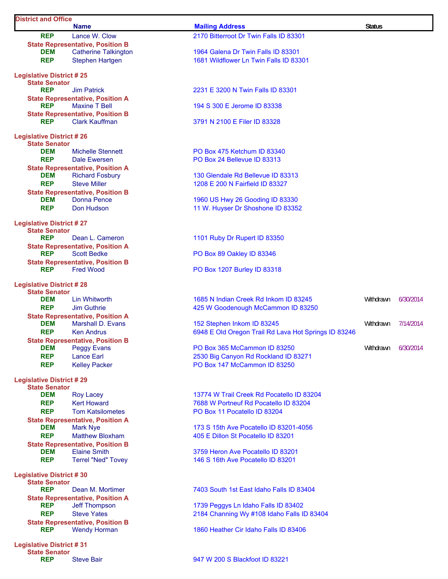| <b>District and Office</b>                              |                                                                        |                                                      |               |           |
|---------------------------------------------------------|------------------------------------------------------------------------|------------------------------------------------------|---------------|-----------|
|                                                         | <b>Name</b>                                                            | <b>Mailing Address</b>                               | <b>Status</b> |           |
| <b>REP</b>                                              | Lance W. Clow                                                          | 2170 Bitterroot Dr Twin Falls ID 83301               |               |           |
| <b>DEM</b>                                              | <b>State Representative, Position B</b><br><b>Catherine Talkington</b> | 1964 Galena Dr Twin Falls ID 83301                   |               |           |
| <b>REP</b>                                              | <b>Stephen Hartgen</b>                                                 | 1681 Wildflower Ln Twin Falls ID 83301               |               |           |
|                                                         |                                                                        |                                                      |               |           |
| <b>Legislative District #25</b>                         |                                                                        |                                                      |               |           |
| <b>State Senator</b><br><b>REP</b>                      | <b>Jim Patrick</b>                                                     |                                                      |               |           |
|                                                         | <b>State Representative, Position A</b>                                | 2231 E 3200 N Twin Falls ID 83301                    |               |           |
| <b>REP</b>                                              | <b>Maxine T Bell</b>                                                   | 194 S 300 E Jerome ID 83338                          |               |           |
|                                                         | <b>State Representative, Position B</b>                                |                                                      |               |           |
| <b>REP</b>                                              | <b>Clark Kauffman</b>                                                  | 3791 N 2100 E Filer ID 83328                         |               |           |
|                                                         |                                                                        |                                                      |               |           |
| <b>Legislative District #26</b><br><b>State Senator</b> |                                                                        |                                                      |               |           |
| <b>DEM</b>                                              | <b>Michelle Stennett</b>                                               | PO Box 475 Ketchum ID 83340                          |               |           |
| <b>REP</b>                                              | Dale Ewersen                                                           | PO Box 24 Bellevue ID 83313                          |               |           |
|                                                         | <b>State Representative, Position A</b>                                |                                                      |               |           |
| <b>DEM</b>                                              | <b>Richard Fosbury</b>                                                 | 130 Glendale Rd Bellevue ID 83313                    |               |           |
| <b>REP</b>                                              | <b>Steve Miller</b>                                                    | 1208 E 200 N Fairfield ID 83327                      |               |           |
|                                                         | <b>State Representative, Position B</b>                                |                                                      |               |           |
| <b>DEM</b>                                              | <b>Donna Pence</b>                                                     | 1960 US Hwy 26 Gooding ID 83330                      |               |           |
| <b>REP</b>                                              | Don Hudson                                                             | 11 W. Huyser Dr Shoshone ID 83352                    |               |           |
| <b>Legislative District #27</b>                         |                                                                        |                                                      |               |           |
| <b>State Senator</b>                                    |                                                                        |                                                      |               |           |
| <b>REP</b>                                              | Dean L. Cameron                                                        | 1101 Ruby Dr Rupert ID 83350                         |               |           |
|                                                         | <b>State Representative, Position A</b>                                |                                                      |               |           |
| <b>REP</b>                                              | <b>Scott Bedke</b>                                                     | PO Box 89 Oakley ID 83346                            |               |           |
| <b>REP</b>                                              | <b>State Representative, Position B</b><br><b>Fred Wood</b>            | PO Box 1207 Burley ID 83318                          |               |           |
|                                                         |                                                                        |                                                      |               |           |
| <b>Legislative District #28</b>                         |                                                                        |                                                      |               |           |
| <b>State Senator</b>                                    |                                                                        |                                                      |               |           |
| <b>DEM</b><br><b>REP</b>                                | <b>Lin Whitworth</b><br><b>Jim Guthrie</b>                             | 1685 N Indian Creek Rd Inkom ID 83245                | Withdrawn     | 6/30/2014 |
|                                                         | <b>State Representative, Position A</b>                                | 425 W Goodenough McCammon ID 83250                   |               |           |
| <b>DEM</b>                                              | <b>Marshall D. Evans</b>                                               | 152 Stephen Inkom ID 83245                           | Withdrawn     | 7/14/2014 |
| <b>REP</b>                                              | <b>Ken Andrus</b>                                                      | 6948 E Old Oregon Trail Rd Lava Hot Springs ID 83246 |               |           |
|                                                         | <b>State Representative, Position B</b>                                |                                                      |               |           |
| <b>DEM</b>                                              | <b>Peggy Evans</b>                                                     | PO Box 365 McCammon ID 83250                         | Withdrawn     | 6/30/2014 |
| <b>REP</b>                                              | <b>Lance Earl</b>                                                      | 2530 Big Canyon Rd Rockland ID 83271                 |               |           |
| <b>REP</b>                                              | <b>Kelley Packer</b>                                                   | PO Box 147 McCammon ID 83250                         |               |           |
| <b>Legislative District #29</b>                         |                                                                        |                                                      |               |           |
| <b>State Senator</b>                                    |                                                                        |                                                      |               |           |
| <b>DEM</b>                                              | <b>Roy Lacey</b>                                                       | 13774 W Trail Creek Rd Pocatello ID 83204            |               |           |
| <b>REP</b>                                              | <b>Kert Howard</b>                                                     | 7688 W Portneuf Rd Pocatello ID 83204                |               |           |
| <b>REP</b>                                              | <b>Tom Katsilometes</b>                                                | PO Box 11 Pocatello ID 83204                         |               |           |
|                                                         | <b>State Representative, Position A</b>                                |                                                      |               |           |
| <b>DEM</b>                                              | <b>Mark Nye</b>                                                        | 173 S 15th Ave Pocatello ID 83201-4056               |               |           |
| <b>REP</b>                                              | <b>Matthew Bloxham</b>                                                 | 405 E Dillon St Pocatello ID 83201                   |               |           |
| DEM                                                     | <b>State Representative, Position B</b><br><b>Elaine Smith</b>         | 3759 Heron Ave Pocatello ID 83201                    |               |           |
| <b>REP</b>                                              | <b>Terrel "Ned" Tovey</b>                                              | 146 S 16th Ave Pocatello ID 83201                    |               |           |
|                                                         |                                                                        |                                                      |               |           |
| <b>Legislative District #30</b>                         |                                                                        |                                                      |               |           |
| <b>State Senator</b>                                    |                                                                        |                                                      |               |           |
| <b>REP</b>                                              | Dean M. Mortimer                                                       | 7403 South 1st East Idaho Falls ID 83404             |               |           |
| <b>REP</b>                                              | <b>State Representative, Position A</b><br><b>Jeff Thompson</b>        | 1739 Peggys Ln Idaho Falls ID 83402                  |               |           |
| <b>REP</b>                                              | <b>Steve Yates</b>                                                     | 2184 Channing Wy #108 Idaho Falls ID 83404           |               |           |
|                                                         | <b>State Representative, Position B</b>                                |                                                      |               |           |
| <b>REP</b>                                              | <b>Wendy Horman</b>                                                    | 1860 Heather Cir Idaho Falls ID 83406                |               |           |
|                                                         |                                                                        |                                                      |               |           |
| <b>Legislative District #31</b><br><b>State Senator</b> |                                                                        |                                                      |               |           |
| <b>REP</b>                                              | <b>Steve Bair</b>                                                      | 947 W 200 S Blackfoot ID 83221                       |               |           |
|                                                         |                                                                        |                                                      |               |           |

 $\mathsf{l}$